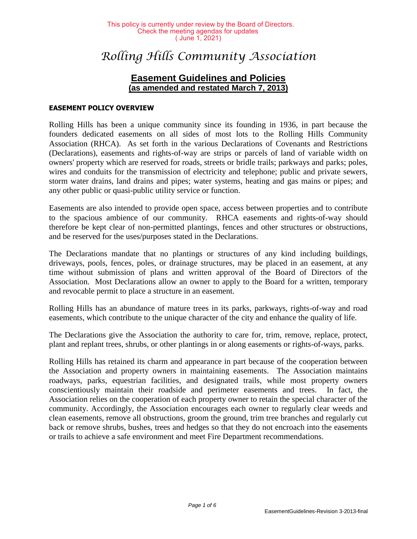# *Rolling Hills Community Association*

# **Easement Guidelines and Policies (as amended and restated March 7, 2013)**

#### **EASEMENT POLICY OVERVIEW**

Rolling Hills has been a unique community since its founding in 1936, in part because the founders dedicated easements on all sides of most lots to the Rolling Hills Community Association (RHCA). As set forth in the various Declarations of Covenants and Restrictions (Declarations), easements and rights-of-way are strips or parcels of land of variable width on owners' property which are reserved for roads, streets or bridle trails; parkways and parks; poles, wires and conduits for the transmission of electricity and telephone; public and private sewers, storm water drains, land drains and pipes; water systems, heating and gas mains or pipes; and any other public or quasi-public utility service or function.

Easements are also intended to provide open space, access between properties and to contribute to the spacious ambience of our community. RHCA easements and rights-of-way should therefore be kept clear of non-permitted plantings, fences and other structures or obstructions, and be reserved for the uses/purposes stated in the Declarations.

The Declarations mandate that no plantings or structures of any kind including buildings, driveways, pools, fences, poles, or drainage structures, may be placed in an easement, at any time without submission of plans and written approval of the Board of Directors of the Association. Most Declarations allow an owner to apply to the Board for a written, temporary and revocable permit to place a structure in an easement.

Rolling Hills has an abundance of mature trees in its parks, parkways, rights-of-way and road easements, which contribute to the unique character of the city and enhance the quality of life.

The Declarations give the Association the authority to care for, trim, remove, replace, protect, plant and replant trees, shrubs, or other plantings in or along easements or rights-of-ways, parks.

Rolling Hills has retained its charm and appearance in part because of the cooperation between the Association and property owners in maintaining easements. The Association maintains roadways, parks, equestrian facilities, and designated trails, while most property owners conscientiously maintain their roadside and perimeter easements and trees. In fact, the Association relies on the cooperation of each property owner to retain the special character of the community. Accordingly, the Association encourages each owner to regularly clear weeds and clean easements, remove all obstructions, groom the ground, trim tree branches and regularly cut back or remove shrubs, bushes, trees and hedges so that they do not encroach into the easements or trails to achieve a safe environment and meet Fire Department recommendations.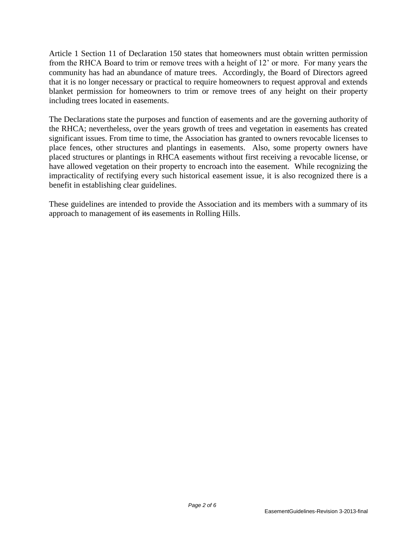Article 1 Section 11 of Declaration 150 states that homeowners must obtain written permission from the RHCA Board to trim or remove trees with a height of 12' or more. For many years the community has had an abundance of mature trees. Accordingly, the Board of Directors agreed that it is no longer necessary or practical to require homeowners to request approval and extends blanket permission for homeowners to trim or remove trees of any height on their property including trees located in easements.

The Declarations state the purposes and function of easements and are the governing authority of the RHCA; nevertheless, over the years growth of trees and vegetation in easements has created significant issues. From time to time, the Association has granted to owners revocable licenses to place fences, other structures and plantings in easements. Also, some property owners have placed structures or plantings in RHCA easements without first receiving a revocable license, or have allowed vegetation on their property to encroach into the easement. While recognizing the impracticality of rectifying every such historical easement issue, it is also recognized there is a benefit in establishing clear guidelines.

These guidelines are intended to provide the Association and its members with a summary of its approach to management of its easements in Rolling Hills.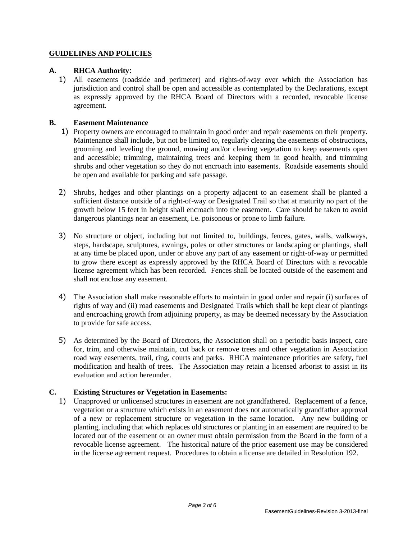#### **GUIDELINES AND POLICIES**

# **A. RHCA Authority:**

1) All easements (roadside and perimeter) and rights-of-way over which the Association has jurisdiction and control shall be open and accessible as contemplated by the Declarations, except as expressly approved by the RHCA Board of Directors with a recorded, revocable license agreement.

# **B. Easement Maintenance**

- 1) Property owners are encouraged to maintain in good order and repair easements on their property. Maintenance shall include, but not be limited to, regularly clearing the easements of obstructions, grooming and leveling the ground, mowing and/or clearing vegetation to keep easements open and accessible; trimming, maintaining trees and keeping them in good health, and trimming shrubs and other vegetation so they do not encroach into easements. Roadside easements should be open and available for parking and safe passage.
- 2) Shrubs, hedges and other plantings on a property adjacent to an easement shall be planted a sufficient distance outside of a right-of-way or Designated Trail so that at maturity no part of the growth below 15 feet in height shall encroach into the easement. Care should be taken to avoid dangerous plantings near an easement, i.e. poisonous or prone to limb failure.
- 3) No structure or object, including but not limited to, buildings, fences, gates, walls, walkways, steps, hardscape, sculptures, awnings, poles or other structures or landscaping or plantings, shall at any time be placed upon, under or above any part of any easement or right-of-way or permitted to grow there except as expressly approved by the RHCA Board of Directors with a revocable license agreement which has been recorded. Fences shall be located outside of the easement and shall not enclose any easement.
- 4) The Association shall make reasonable efforts to maintain in good order and repair (i) surfaces of rights of way and (ii) road easements and Designated Trails which shall be kept clear of plantings and encroaching growth from adjoining property, as may be deemed necessary by the Association to provide for safe access.
- 5) As determined by the Board of Directors, the Association shall on a periodic basis inspect, care for, trim, and otherwise maintain, cut back or remove trees and other vegetation in Association road way easements, trail, ring, courts and parks. RHCA maintenance priorities are safety, fuel modification and health of trees. The Association may retain a licensed arborist to assist in its evaluation and action hereunder.

# **C. Existing Structures or Vegetation in Easements:**

1) Unapproved or unlicensed structures in easement are not grandfathered. Replacement of a fence, vegetation or a structure which exists in an easement does not automatically grandfather approval of a new or replacement structure or vegetation in the same location. Any new building or planting, including that which replaces old structures or planting in an easement are required to be located out of the easement or an owner must obtain permission from the Board in the form of a revocable license agreement. The historical nature of the prior easement use may be considered in the license agreement request. Procedures to obtain a license are detailed in Resolution 192.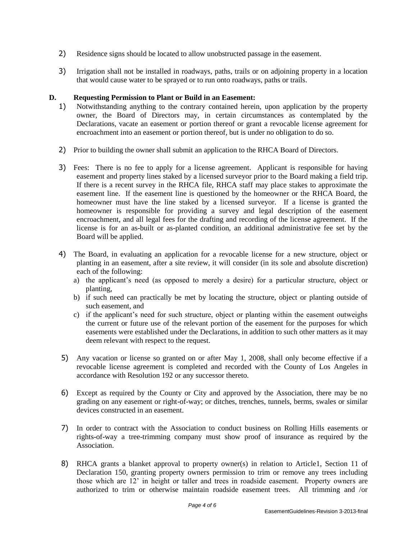- 2) Residence signs should be located to allow unobstructed passage in the easement.
- 3) Irrigation shall not be installed in roadways, paths, trails or on adjoining property in a location that would cause water to be sprayed or to run onto roadways, paths or trails.

#### **D. Requesting Permission to Plant or Build in an Easement:**

- 1) Notwithstanding anything to the contrary contained herein, upon application by the property owner, the Board of Directors may, in certain circumstances as contemplated by the Declarations, vacate an easement or portion thereof or grant a revocable license agreement for encroachment into an easement or portion thereof, but is under no obligation to do so.
- 2) Prior to building the owner shall submit an application to the RHCA Board of Directors.
- 3) Fees: There is no fee to apply for a license agreement. Applicant is responsible for having easement and property lines staked by a licensed surveyor prior to the Board making a field trip. If there is a recent survey in the RHCA file, RHCA staff may place stakes to approximate the easement line. If the easement line is questioned by the homeowner or the RHCA Board, the homeowner must have the line staked by a licensed surveyor. If a license is granted the homeowner is responsible for providing a survey and legal description of the easement encroachment, and all legal fees for the drafting and recording of the license agreement. If the license is for an as-built or as-planted condition, an additional administrative fee set by the Board will be applied.
- 4) The Board, in evaluating an application for a revocable license for a new structure, object or planting in an easement, after a site review, it will consider (in its sole and absolute discretion) each of the following:
	- a) the applicant's need (as opposed to merely a desire) for a particular structure, object or planting,
	- b) if such need can practically be met by locating the structure, object or planting outside of such easement, and
	- c) if the applicant's need for such structure, object or planting within the easement outweighs the current or future use of the relevant portion of the easement for the purposes for which easements were established under the Declarations, in addition to such other matters as it may deem relevant with respect to the request.
- 5) Any vacation or license so granted on or after May 1, 2008, shall only become effective if a revocable license agreement is completed and recorded with the County of Los Angeles in accordance with Resolution 192 or any successor thereto.
- 6) Except as required by the County or City and approved by the Association, there may be no grading on any easement or right-of-way; or ditches, trenches, tunnels, berms, swales or similar devices constructed in an easement.
- 7) In order to contract with the Association to conduct business on Rolling Hills easements or rights-of-way a tree-trimming company must show proof of insurance as required by the Association.
- 8) RHCA grants a blanket approval to property owner(s) in relation to Article1, Section 11 of Declaration 150, granting property owners permission to trim or remove any trees including those which are 12' in height or taller and trees in roadside easement. Property owners are authorized to trim or otherwise maintain roadside easement trees. All trimming and /or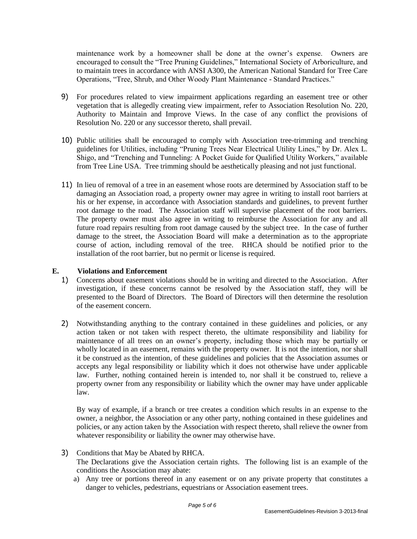maintenance work by a homeowner shall be done at the owner's expense. Owners are encouraged to consult the "Tree Pruning Guidelines," International Society of Arboriculture, and to maintain trees in accordance with ANSI A300, the American National Standard for Tree Care Operations, "Tree, Shrub, and Other Woody Plant Maintenance - Standard Practices."

- 9) For procedures related to view impairment applications regarding an easement tree or other vegetation that is allegedly creating view impairment, refer to Association Resolution No. 220, Authority to Maintain and Improve Views. In the case of any conflict the provisions of Resolution No. 220 or any successor thereto, shall prevail.
- 10) Public utilities shall be encouraged to comply with Association tree-trimming and trenching guidelines for Utilities, including "Pruning Trees Near Electrical Utility Lines," by Dr. Alex L. Shigo, and "Trenching and Tunneling: A Pocket Guide for Qualified Utility Workers," available from Tree Line USA. Tree trimming should be aesthetically pleasing and not just functional.
- 11) In lieu of removal of a tree in an easement whose roots are determined by Association staff to be damaging an Association road, a property owner may agree in writing to install root barriers at his or her expense, in accordance with Association standards and guidelines, to prevent further root damage to the road. The Association staff will supervise placement of the root barriers. The property owner must also agree in writing to reimburse the Association for any and all future road repairs resulting from root damage caused by the subject tree. In the case of further damage to the street, the Association Board will make a determination as to the appropriate course of action, including removal of the tree. RHCA should be notified prior to the installation of the root barrier, but no permit or license is required.

#### **E. Violations and Enforcement**

- 1) Concerns about easement violations should be in writing and directed to the Association. After investigation, if these concerns cannot be resolved by the Association staff, they will be presented to the Board of Directors. The Board of Directors will then determine the resolution of the easement concern.
- 2) Notwithstanding anything to the contrary contained in these guidelines and policies, or any action taken or not taken with respect thereto, the ultimate responsibility and liability for maintenance of all trees on an owner's property, including those which may be partially or wholly located in an easement, remains with the property owner. It is not the intention, nor shall it be construed as the intention, of these guidelines and policies that the Association assumes or accepts any legal responsibility or liability which it does not otherwise have under applicable law. Further, nothing contained herein is intended to, nor shall it be construed to, relieve a property owner from any responsibility or liability which the owner may have under applicable law.

By way of example, if a branch or tree creates a condition which results in an expense to the owner, a neighbor, the Association or any other party, nothing contained in these guidelines and policies, or any action taken by the Association with respect thereto, shall relieve the owner from whatever responsibility or liability the owner may otherwise have.

- 3) Conditions that May be Abated by RHCA. The Declarations give the Association certain rights. The following list is an example of the conditions the Association may abate:
	- a) Any tree or portions thereof in any easement or on any private property that constitutes a danger to vehicles, pedestrians, equestrians or Association easement trees.